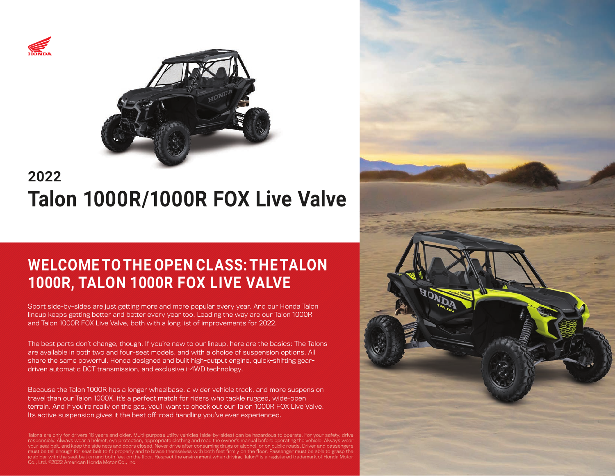



# **2022 Talon 1000R/1000R FOX Live Valve**

## **WELCOME TO THE OPEN CLASS: THE TALON 1000R, TALON 1000R FOX LIVE VALVE**

Sport side-by-sides are just getting more and more popular every year. And our Honda Talon lineup keeps getting better and better every year too. Leading the way are our Talon 1000R and Talon 1000R FOX Live Valve, both with a long list of improvements for 2022.

The best parts don't change, though. If you're new to our lineup, here are the basics: The Talons are available in both two and four-seat models, and with a choice of suspension options. All share the same powerful, Honda designed and built high-output engine, quick-shifting geardriven automatic DCT transmission, and exclusive i-4WD technology.

Because the Talon 1000R has a longer wheelbase, a wider vehicle track, and more suspension travel than our Talon 1000X, it's a perfect match for riders who tackle rugged, wide-open terrain. And if you're really on the gas, you'll want to check out our Talon 1000R FOX Live Valve. Its active suspension gives it the best off-road handling you've ever experienced.

Talons are only for drivers 16 years and older. Multi-purpose utility vehicles (side-by-sides) can be hazardous to operate. For your safety, drive ibly. Always wear a helmet, eye protection, appropriate clothing and read the owner's manual before operating eat belt, and keep the side nets and doors closed. Never drive after consuming drugs or alcohol, or on public roads. Driver and passengers must be tall enough for seat belt to fit properly and to brace themselves with both feet firmly on the floor. Passenger must be able to grasp the grab bar with the seat belt on and both feet on the floor. Respect the environment when driving. Talon® is a registered trademark of Honda Motor Co., Ltd. ©2022 American Honda Motor Co., Inc.

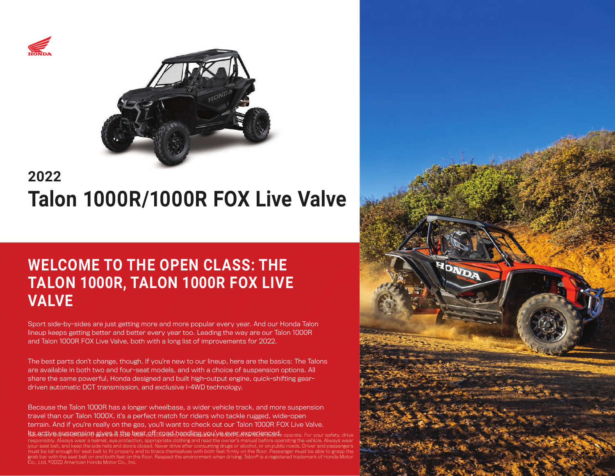



# **2022 Talon 1000R/1000R FOX Live Valve**

## **WELCOME TO THE OPEN CLASS: THE TALON 1000R, TALON 1000R FOX LIVE VALVE**

Sport side-by-sides are just getting more and more popular every year. And our Honda Talon lineup keeps getting better and better every year too. Leading the way are our Talon 1000R and Talon 1000R FOX Live Valve, both with a long list of improvements for 2022.

The best parts don't change, though. If you're new to our lineup, here are the basics; The Talons are available in both two and four-seat models, and with a choice of suspension options. All share the same powerful, Honda designed and built high-output engine, quick-shifting geardriven automatic DCT transmission, and exclusive i-4WD technology.

Because the Talon 1000R has a longer wheelbase, a wider vehicle track, and more suspension travel than our Talon 1000X, it's a perfect match for riders who tackle rugged, wide-open terrain. And if you're really on the gas, you'll want to check out our Talon 1000R FOX Live Valve. lts active suspension gives it the best off-road bandling you've exer a xperienced, operate. For your safety, drive

responsibly. Always wear a helmet, eye protection, appropriate clothing and read the owner's manual before operating the vehicle. Always wear your seat belt, and keep the side nets and doors closed. Never drive after consuming drugs or alcohol, or on public roads. Driver and passengers must be tall enough for seat belt to fit properly and to brace themselves with both feet firmly on the floor. Passenger must be able to grasp the grab bar with the seat belt on and both feet on the floor. Respect the environment when driving. Talon® is a registered trademark of Honda Motor Co., Ltd. ©2022 American Honda Motor Co., Inc.

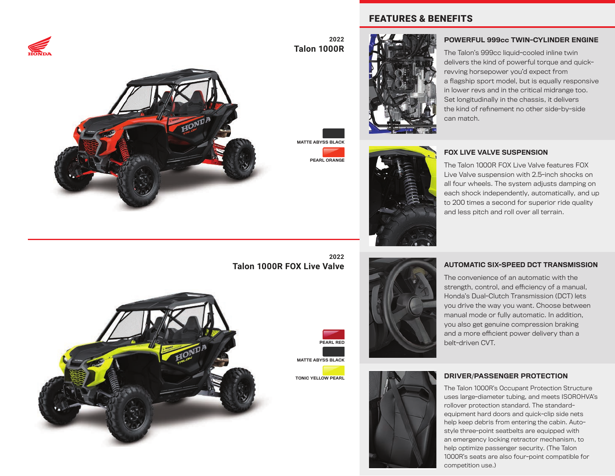



**2022 Talon 1000R**

MATTE ABYSS BLACK

PEARL ORANGE

### FEATURES & BENEFITS





#### POWERFUL 999cc TWIN-CYLINDER ENGINE

The Talon's 999cc liquid-cooled inline twin delivers the kind of powerful torque and quickrevving horsepower you'd expect from a flagship sport model, but is equally responsive in lower revs and in the critical midrange too. Set longitudinally in the chassis, it delivers the kind of refinement no other side-by-side can match.

### FOX LIVE VALVE SUSPENSION

The Talon 1000R FOX Live Valve features FOX Live Valve suspension with 2.5-inch shocks on all four wheels. The system adjusts damping on each shock independently, automatically, and up to 200 times a second for superior ride quality and less pitch and roll over all terrain.

**2022 Talon 1000R FOX Live Valve**

TONIC YELLOW PEARL





#### AUTOMATIC SIX-SPEED DCT TRANSMISSION

The convenience of an automatic with the strength, control, and efficiency of a manual. Honda's Dual-Clutch Transmission (DCT) lets you drive the way you want. Choose between manual mode or fully automatic. In addition, you also get genuine compression braking and a more efficient power delivery than a belt-driven CVT.



#### DRIVER/PASSENGER PROTECTION

The Talon 1000R's Occupant Protection Structure uses large-diameter tubing, and meets ISOROHVA's rollover protection standard. The standardequipment hard doors and quick-clip side nets help keep debris from entering the cabin. Autostyle three-point seatbelts are equipped with an emergency locking retractor mechanism, to help optimize passenger security. (The Talon 1000R's seats are also four-point compatible for competition use.)